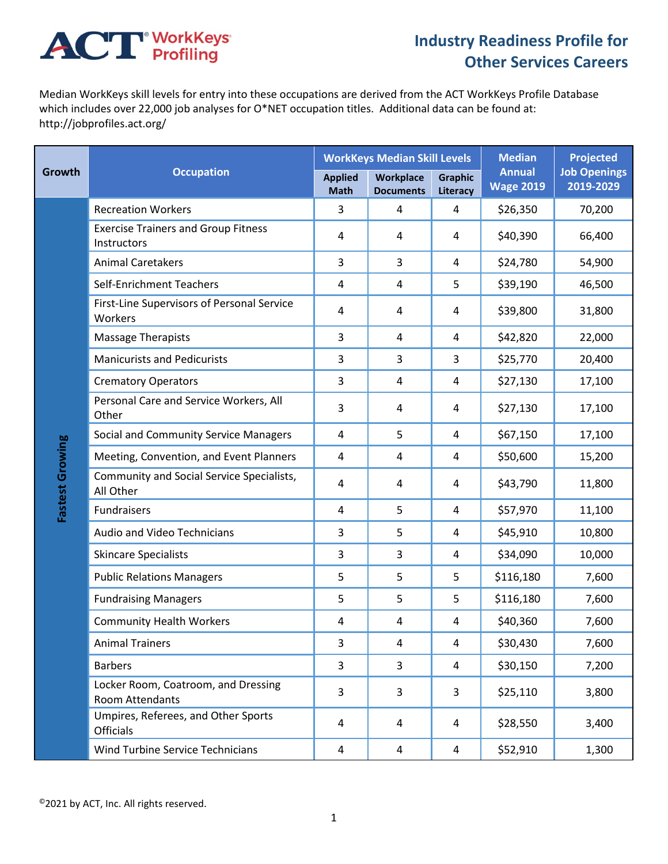## **ACT** WorkKeys

## **Industry Readiness Profile for Other Services Careers**

Median WorkKeys skill levels for entry into these occupations are derived from the ACT WorkKeys Profile Database which includes over 22,000 job analyses for O\*NET occupation titles. Additional data can be found at: http://jobprofiles.act.org/

| <b>Growth</b>   | <b>Occupation</b>                                         |                               | <b>WorkKeys Median Skill Levels</b> |                            | <b>Median</b>                     | <b>Projected</b>                 |
|-----------------|-----------------------------------------------------------|-------------------------------|-------------------------------------|----------------------------|-----------------------------------|----------------------------------|
|                 |                                                           | <b>Applied</b><br><b>Math</b> | Workplace<br><b>Documents</b>       | <b>Graphic</b><br>Literacy | <b>Annual</b><br><b>Wage 2019</b> | <b>Job Openings</b><br>2019-2029 |
| Fastest Growing | <b>Recreation Workers</b>                                 | 3                             | 4                                   | $\overline{4}$             | \$26,350                          | 70,200                           |
|                 | <b>Exercise Trainers and Group Fitness</b><br>Instructors | 4                             | 4                                   | 4                          | \$40,390                          | 66,400                           |
|                 | <b>Animal Caretakers</b>                                  | $\overline{3}$                | 3                                   | 4                          | \$24,780                          | 54,900                           |
|                 | Self-Enrichment Teachers                                  | 4                             | 4                                   | 5                          | \$39,190                          | 46,500                           |
|                 | First-Line Supervisors of Personal Service<br>Workers     | 4                             | 4                                   | 4                          | \$39,800                          | 31,800                           |
|                 | <b>Massage Therapists</b>                                 | 3                             | 4                                   | 4                          | \$42,820                          | 22,000                           |
|                 | <b>Manicurists and Pedicurists</b>                        | 3                             | 3                                   | 3                          | \$25,770                          | 20,400                           |
|                 | <b>Crematory Operators</b>                                | 3                             | 4                                   | 4                          | \$27,130                          | 17,100                           |
|                 | Personal Care and Service Workers, All<br>Other           | 3                             | 4                                   | 4                          | \$27,130                          | 17,100                           |
|                 | Social and Community Service Managers                     | 4                             | 5                                   | 4                          | \$67,150                          | 17,100                           |
|                 | Meeting, Convention, and Event Planners                   | 4                             | 4                                   | 4                          | \$50,600                          | 15,200                           |
|                 | Community and Social Service Specialists,<br>All Other    | 4                             | 4                                   | 4                          | \$43,790                          | 11,800                           |
|                 | Fundraisers                                               | 4                             | 5                                   | 4                          | \$57,970                          | 11,100                           |
|                 | Audio and Video Technicians                               | 3                             | 5                                   | 4                          | \$45,910                          | 10,800                           |
|                 | <b>Skincare Specialists</b>                               | 3                             | 3                                   | 4                          | \$34,090                          | 10,000                           |
|                 | <b>Public Relations Managers</b>                          | 5                             | 5                                   | 5                          | \$116,180                         | 7,600                            |
|                 | <b>Fundraising Managers</b>                               | 5                             | 5                                   | 5                          | \$116,180                         | 7,600                            |
|                 | <b>Community Health Workers</b>                           | 4                             | 4                                   | 4                          | \$40,360                          | 7,600                            |
|                 | <b>Animal Trainers</b>                                    | 3                             | 4                                   | 4                          | \$30,430                          | 7,600                            |
|                 | <b>Barbers</b>                                            | 3                             | 3                                   | 4                          | \$30,150                          | 7,200                            |
|                 | Locker Room, Coatroom, and Dressing<br>Room Attendants    | 3                             | 3                                   | 3                          | \$25,110                          | 3,800                            |
|                 | Umpires, Referees, and Other Sports<br><b>Officials</b>   | 4                             | 4                                   | 4                          | \$28,550                          | 3,400                            |
|                 | <b>Wind Turbine Service Technicians</b>                   | 4                             | 4                                   | 4                          | \$52,910                          | 1,300                            |

©2021 by ACT, Inc. All rights reserved.